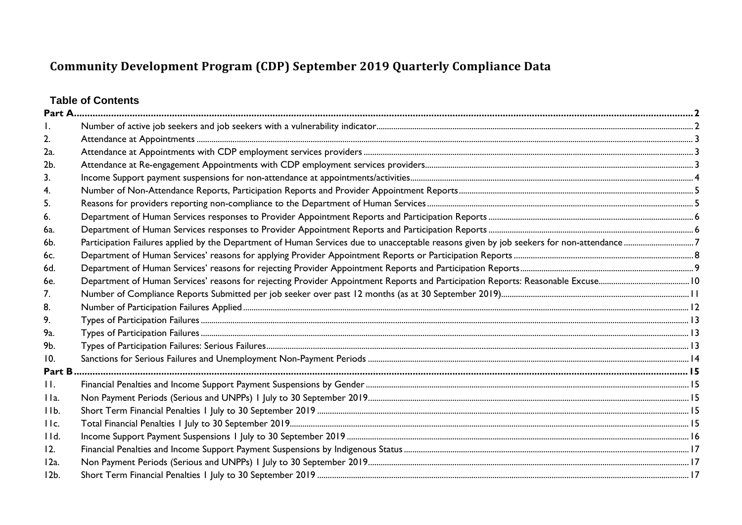# **Table of Contents**

| 2.             |  |
|----------------|--|
| 2a.            |  |
| 2b.            |  |
| 3.             |  |
| 4.             |  |
| 5.             |  |
| 6.             |  |
| 6a.            |  |
| 6b.            |  |
| 6c.            |  |
| 6d.            |  |
| 6e.            |  |
| 7.             |  |
| 8.             |  |
| 9.             |  |
| 9а.            |  |
| 9b.            |  |
| 10.            |  |
| Part B         |  |
| $\mathbf{H}$ . |  |
| IIa.           |  |
| IIb.           |  |
| IIc.           |  |
| IId.           |  |
| 12.            |  |
| 12a.           |  |
| $12b$ .        |  |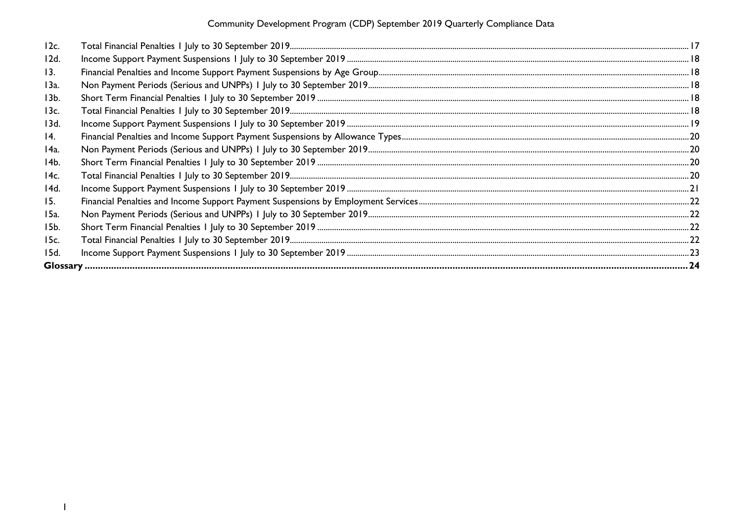| 12c. |  |
|------|--|
| 12d. |  |
| 13.  |  |
| 13a. |  |
| 13b. |  |
| 13c. |  |
| 13d. |  |
| 14.  |  |
| 14a. |  |
| 14b. |  |
| 14c. |  |
| 14d. |  |
| 15.  |  |
| 15a. |  |
| 15b. |  |
| 15c. |  |
| 15d. |  |
|      |  |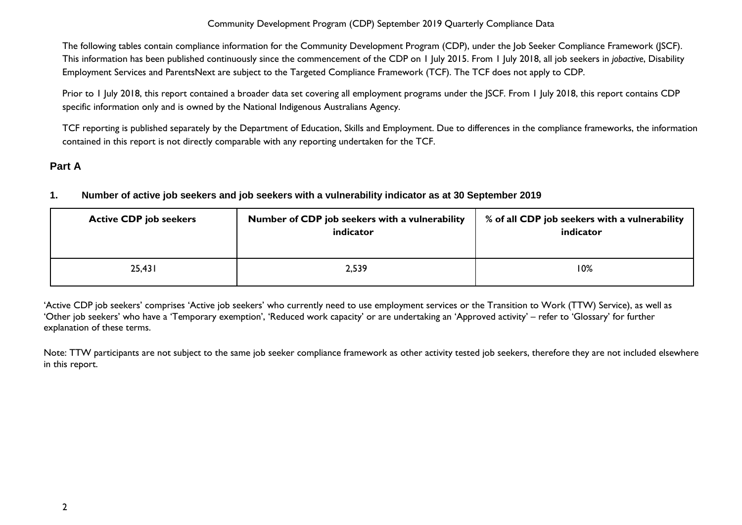The following tables contain compliance information for the Community Development Program (CDP), under the Job Seeker Compliance Framework (JSCF). This information has been published continuously since the commencement of the CDP on 1 July 2015. From 1 July 2018, all job seekers in *jobactive*, Disability Employment Services and ParentsNext are subject to the Targeted Compliance Framework (TCF). The TCF does not apply to CDP.

Prior to 1 July 2018, this report contained a broader data set covering all employment programs under the JSCF. From 1 July 2018, this report contains CDP specific information only and is owned by the National Indigenous Australians Agency.

TCF reporting is published separately by the Department of Education, Skills and Employment. Due to differences in the compliance frameworks, the information contained in this report is not directly comparable with any reporting undertaken for the TCF.

# <span id="page-2-1"></span><span id="page-2-0"></span>**Part A**

#### **1. Number of active job seekers and job seekers with a vulnerability indicator as at 30 September 2019**

| <b>Active CDP job seekers</b> | Number of CDP job seekers with a vulnerability<br>indicator | % of all CDP job seekers with a vulnerability<br>indicator |
|-------------------------------|-------------------------------------------------------------|------------------------------------------------------------|
| 25,431                        | 2,539                                                       | 10%                                                        |

'Active CDP job seekers' comprises 'Active job seekers' who currently need to use employment services or the Transition to Work (TTW) Service), as well as 'Other job seekers' who have a 'Temporary exemption', 'Reduced work capacity' or are undertaking an 'Approved activity' – refer to 'Glossary' for further explanation of these terms.

Note: TTW participants are not subject to the same job seeker compliance framework as other activity tested job seekers, therefore they are not included elsewhere in this report.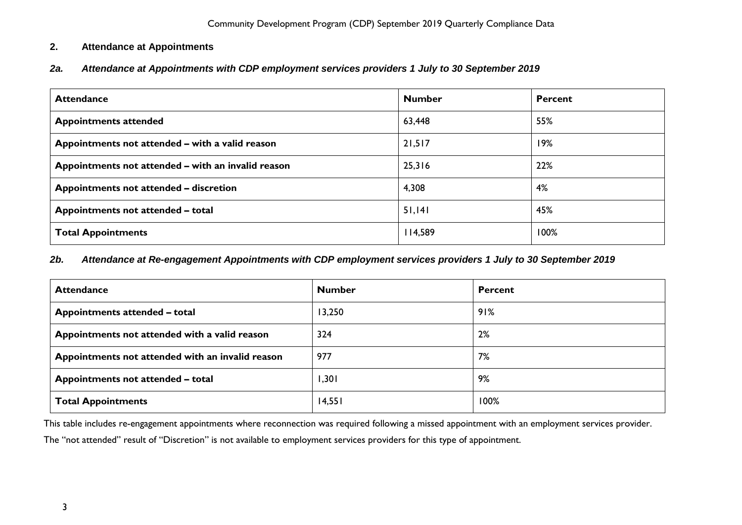# <span id="page-3-0"></span>**2. Attendance at Appointments**

<span id="page-3-1"></span>*2a. Attendance at Appointments with CDP employment services providers 1 July to 30 September 2019*

| <b>Attendance</b>                                  | <b>Number</b> | <b>Percent</b> |
|----------------------------------------------------|---------------|----------------|
| <b>Appointments attended</b>                       | 63,448        | 55%            |
| Appointments not attended - with a valid reason    | 21,517        | 19%            |
| Appointments not attended - with an invalid reason | 25,316        | 22%            |
| Appointments not attended - discretion             | 4,308         | 4%             |
| Appointments not attended - total                  | 51,141        | 45%            |
| <b>Total Appointments</b>                          | 114,589       | 100%           |

#### <span id="page-3-2"></span>*2b. Attendance at Re-engagement Appointments with CDP employment services providers 1 July to 30 September 2019*

| <b>Attendance</b>                                | <b>Number</b> | <b>Percent</b> |
|--------------------------------------------------|---------------|----------------|
| Appointments attended - total                    | 13,250        | 91%            |
| Appointments not attended with a valid reason    | 324           | 2%             |
| Appointments not attended with an invalid reason | 977           | 7%             |
| Appointments not attended - total                | 1,301         | 9%             |
| <b>Total Appointments</b>                        | 14,551        | 100%           |

This table includes re-engagement appointments where reconnection was required following a missed appointment with an employment services provider.

The "not attended" result of "Discretion" is not available to employment services providers for this type of appointment.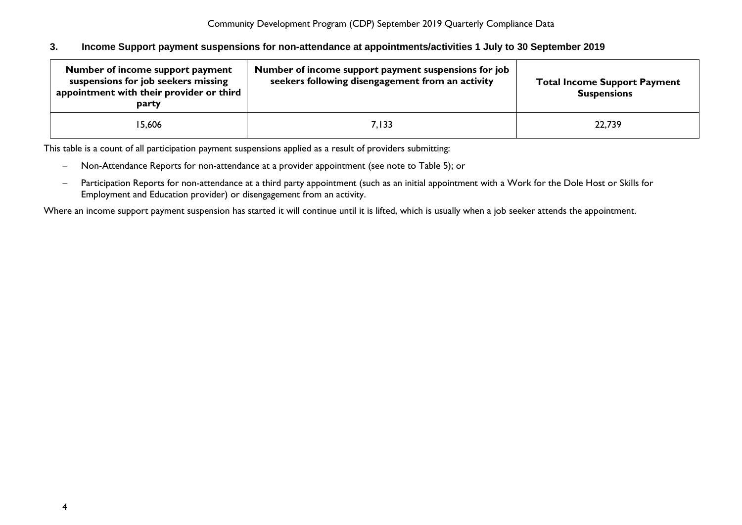#### <span id="page-4-0"></span>**3. Income Support payment suspensions for non-attendance at appointments/activities 1 July to 30 September 2019**

| Number of income support payment<br>suspensions for job seekers missing<br>appointment with their provider or third<br>party | Number of income support payment suspensions for job<br>seekers following disengagement from an activity | <b>Total Income Support Payment</b><br><b>Suspensions</b> |
|------------------------------------------------------------------------------------------------------------------------------|----------------------------------------------------------------------------------------------------------|-----------------------------------------------------------|
| 15,606                                                                                                                       | 7,133                                                                                                    | 22,739                                                    |

This table is a count of all participation payment suspensions applied as a result of providers submitting:

- − Non-Attendance Reports for non-attendance at a provider appointment (see note to Table 5); or
- − Participation Reports for non-attendance at a third party appointment (such as an initial appointment with a Work for the Dole Host or Skills for Employment and Education provider) or disengagement from an activity.

Where an income support payment suspension has started it will continue until it is lifted, which is usually when a job seeker attends the appointment.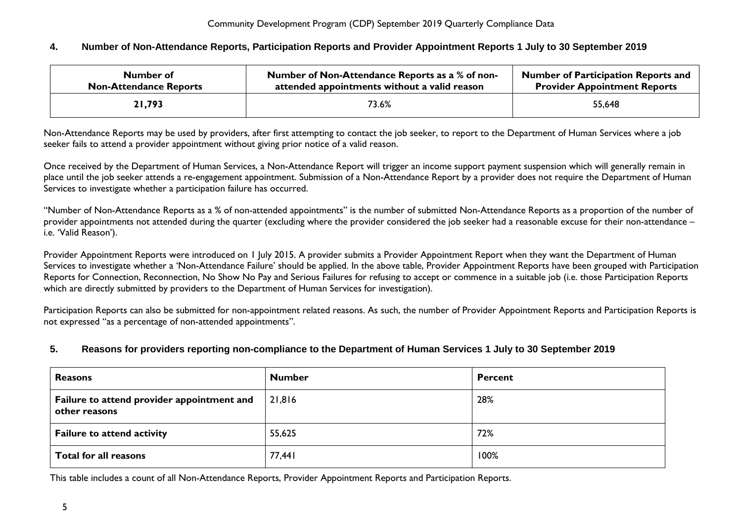#### <span id="page-5-0"></span>**4. Number of Non-Attendance Reports, Participation Reports and Provider Appointment Reports 1 July to 30 September 2019**

| Number of                     | Number of Non-Attendance Reports as a % of non- | <b>Number of Participation Reports and</b> |
|-------------------------------|-------------------------------------------------|--------------------------------------------|
| <b>Non-Attendance Reports</b> | attended appointments without a valid reason    | <b>Provider Appointment Reports</b>        |
| 21,793                        | 73.6%                                           | 55,648                                     |

Non-Attendance Reports may be used by providers, after first attempting to contact the job seeker, to report to the Department of Human Services where a job seeker fails to attend a provider appointment without giving prior notice of a valid reason.

Once received by the Department of Human Services, a Non-Attendance Report will trigger an income support payment suspension which will generally remain in place until the job seeker attends a re-engagement appointment. Submission of a Non-Attendance Report by a provider does not require the Department of Human Services to investigate whether a participation failure has occurred.

"Number of Non-Attendance Reports as a % of non-attended appointments" is the number of submitted Non-Attendance Reports as a proportion of the number of provider appointments not attended during the quarter (excluding where the provider considered the job seeker had a reasonable excuse for their non-attendance – i.e. 'Valid Reason').

Provider Appointment Reports were introduced on 1 July 2015. A provider submits a Provider Appointment Report when they want the Department of Human Services to investigate whether a 'Non-Attendance Failure' should be applied. In the above table, Provider Appointment Reports have been grouped with Participation Reports for Connection, Reconnection, No Show No Pay and Serious Failures for refusing to accept or commence in a suitable job (i.e. those Participation Reports which are directly submitted by providers to the Department of Human Services for investigation).

Participation Reports can also be submitted for non-appointment related reasons. As such, the number of Provider Appointment Reports and Participation Reports is not expressed "as a percentage of non-attended appointments".

#### <span id="page-5-1"></span>**5. Reasons for providers reporting non-compliance to the Department of Human Services 1 July to 30 September 2019**

| <b>Reasons</b>                                              | <b>Number</b> | Percent |
|-------------------------------------------------------------|---------------|---------|
| Failure to attend provider appointment and<br>other reasons | 21,816        | 28%     |
| <b>Failure to attend activity</b>                           | 55,625        | 72%     |
| Total for all reasons                                       | 77,441        | 100%    |

This table includes a count of all Non-Attendance Reports, Provider Appointment Reports and Participation Reports.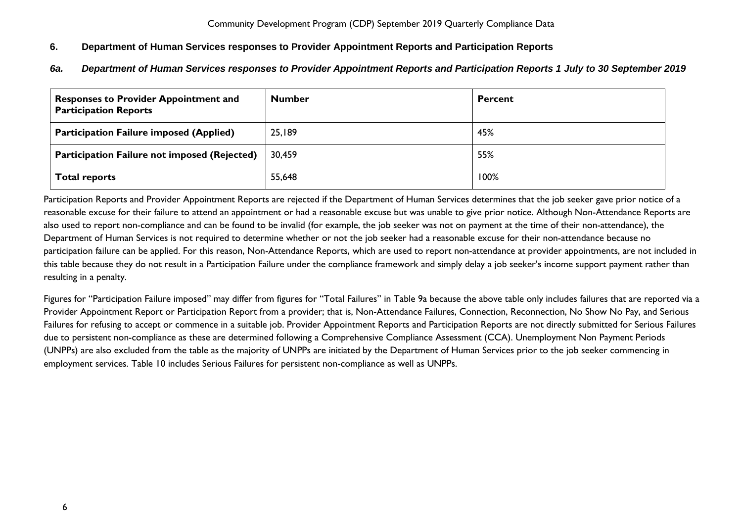# <span id="page-6-0"></span>**6. Department of Human Services responses to Provider Appointment Reports and Participation Reports**

<span id="page-6-1"></span>*6a. Department of Human Services responses to Provider Appointment Reports and Participation Reports 1 July to 30 September 2019*

| <b>Responses to Provider Appointment and</b><br><b>Participation Reports</b> | <b>Number</b> | <b>Percent</b> |
|------------------------------------------------------------------------------|---------------|----------------|
| <b>Participation Failure imposed (Applied)</b>                               | 25,189        | 45%            |
| <b>Participation Failure not imposed (Rejected)</b>                          | 30,459        | 55%            |
| <b>Total reports</b>                                                         | 55,648        | 100%           |

Participation Reports and Provider Appointment Reports are rejected if the Department of Human Services determines that the job seeker gave prior notice of a reasonable excuse for their failure to attend an appointment or had a reasonable excuse but was unable to give prior notice. Although Non-Attendance Reports are also used to report non-compliance and can be found to be invalid (for example, the job seeker was not on payment at the time of their non-attendance), the Department of Human Services is not required to determine whether or not the job seeker had a reasonable excuse for their non-attendance because no participation failure can be applied. For this reason, Non-Attendance Reports, which are used to report non-attendance at provider appointments, are not included in this table because they do not result in a Participation Failure under the compliance framework and simply delay a job seeker's income support payment rather than resulting in a penalty.

Figures for "Participation Failure imposed" may differ from figures for "Total Failures" in Table 9a because the above table only includes failures that are reported via a Provider Appointment Report or Participation Report from a provider; that is, Non-Attendance Failures, Connection, Reconnection, No Show No Pay, and Serious Failures for refusing to accept or commence in a suitable job. Provider Appointment Reports and Participation Reports are not directly submitted for Serious Failures due to persistent non-compliance as these are determined following a Comprehensive Compliance Assessment (CCA). Unemployment Non Payment Periods (UNPPs) are also excluded from the table as the majority of UNPPs are initiated by the Department of Human Services prior to the job seeker commencing in employment services. Table 10 includes Serious Failures for persistent non-compliance as well as UNPPs.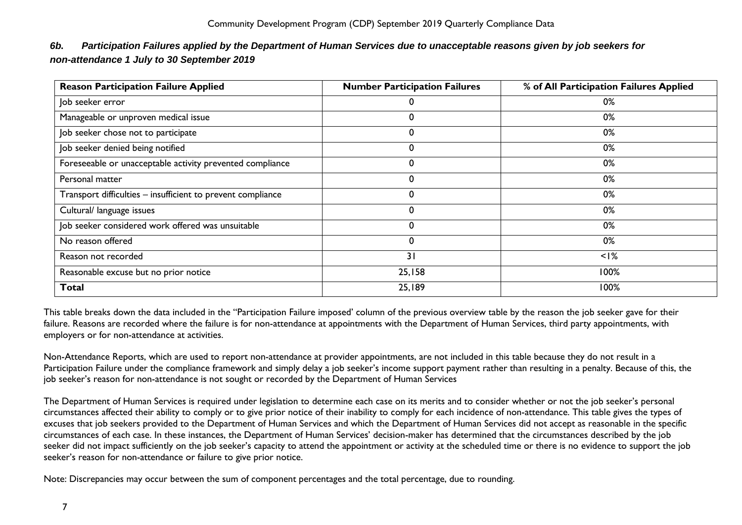| <b>Reason Participation Failure Applied</b>                 | <b>Number Participation Failures</b> | % of All Participation Failures Applied |
|-------------------------------------------------------------|--------------------------------------|-----------------------------------------|
| Job seeker error                                            | 0                                    | 0%                                      |
| Manageable or unproven medical issue                        | 0                                    | 0%                                      |
| Job seeker chose not to participate                         | 0                                    | 0%                                      |
| Job seeker denied being notified                            | 0                                    | 0%                                      |
| Foreseeable or unacceptable activity prevented compliance   | 0                                    | 0%                                      |
| Personal matter                                             | 0                                    | 0%                                      |
| Transport difficulties - insufficient to prevent compliance | 0                                    | 0%                                      |
| Cultural/ language issues                                   | 0                                    | 0%                                      |
| Job seeker considered work offered was unsuitable           | 0                                    | 0%                                      |
| No reason offered                                           | 0                                    | 0%                                      |
| Reason not recorded                                         | 31                                   | $<$ I%                                  |
| Reasonable excuse but no prior notice                       | 25,158                               | 100%                                    |
| <b>Total</b>                                                | 25,189                               | 100%                                    |

# <span id="page-7-0"></span>*6b. Participation Failures applied by the Department of Human Services due to unacceptable reasons given by job seekers for non-attendance 1 July to 30 September 2019*

This table breaks down the data included in the "Participation Failure imposed' column of the previous overview table by the reason the job seeker gave for their failure. Reasons are recorded where the failure is for non-attendance at appointments with the Department of Human Services, third party appointments, with employers or for non-attendance at activities.

Non-Attendance Reports, which are used to report non-attendance at provider appointments, are not included in this table because they do not result in a Participation Failure under the compliance framework and simply delay a job seeker's income support payment rather than resulting in a penalty. Because of this, the job seeker's reason for non-attendance is not sought or recorded by the Department of Human Services

The Department of Human Services is required under legislation to determine each case on its merits and to consider whether or not the job seeker's personal circumstances affected their ability to comply or to give prior notice of their inability to comply for each incidence of non-attendance. This table gives the types of excuses that job seekers provided to the Department of Human Services and which the Department of Human Services did not accept as reasonable in the specific circumstances of each case. In these instances, the Department of Human Services' decision-maker has determined that the circumstances described by the job seeker did not impact sufficiently on the job seeker's capacity to attend the appointment or activity at the scheduled time or there is no evidence to support the job seeker's reason for non-attendance or failure to give prior notice.

Note: Discrepancies may occur between the sum of component percentages and the total percentage, due to rounding.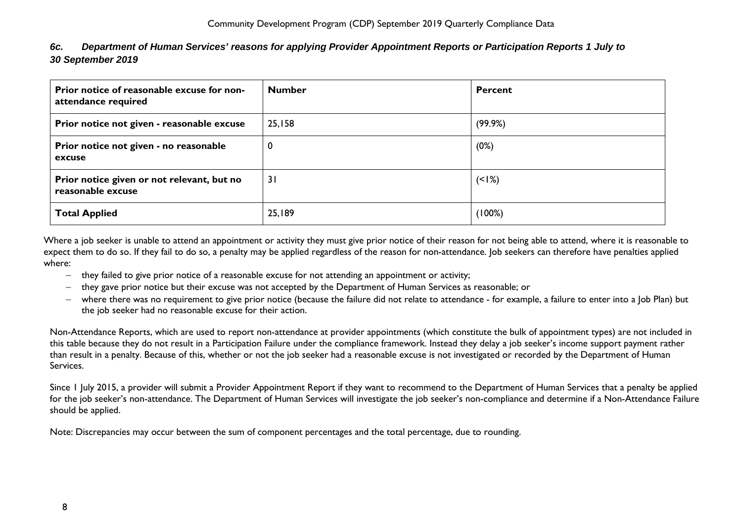<span id="page-8-0"></span>

| 6c. |                   | Department of Human Services' reasons for applying Provider Appointment Reports or Participation Reports 1 July to |
|-----|-------------------|--------------------------------------------------------------------------------------------------------------------|
|     | 30 September 2019 |                                                                                                                    |

| Prior notice of reasonable excuse for non-<br>attendance required | <b>Number</b> | Percent |
|-------------------------------------------------------------------|---------------|---------|
| Prior notice not given - reasonable excuse                        | 25,158        | (99.9%) |
| Prior notice not given - no reasonable<br>excuse                  | 0             | (0%)    |
| Prior notice given or not relevant, but no<br>reasonable excuse   | 31            | $(1\%)$ |
| <b>Total Applied</b>                                              | 25,189        | (100%)  |

Where a job seeker is unable to attend an appointment or activity they must give prior notice of their reason for not being able to attend, where it is reasonable to expect them to do so. If they fail to do so, a penalty may be applied regardless of the reason for non-attendance. Job seekers can therefore have penalties applied where:

- − they failed to give prior notice of a reasonable excuse for not attending an appointment or activity;
- − they gave prior notice but their excuse was not accepted by the Department of Human Services as reasonable; or
- − where there was no requirement to give prior notice (because the failure did not relate to attendance for example, a failure to enter into a Job Plan) but the job seeker had no reasonable excuse for their action.

Non-Attendance Reports, which are used to report non-attendance at provider appointments (which constitute the bulk of appointment types) are not included in this table because they do not result in a Participation Failure under the compliance framework. Instead they delay a job seeker's income support payment rather than result in a penalty. Because of this, whether or not the job seeker had a reasonable excuse is not investigated or recorded by the Department of Human Services.

Since 1 July 2015, a provider will submit a Provider Appointment Report if they want to recommend to the Department of Human Services that a penalty be applied for the job seeker's non-attendance. The Department of Human Services will investigate the job seeker's non-compliance and determine if a Non-Attendance Failure should be applied.

Note: Discrepancies may occur between the sum of component percentages and the total percentage, due to rounding.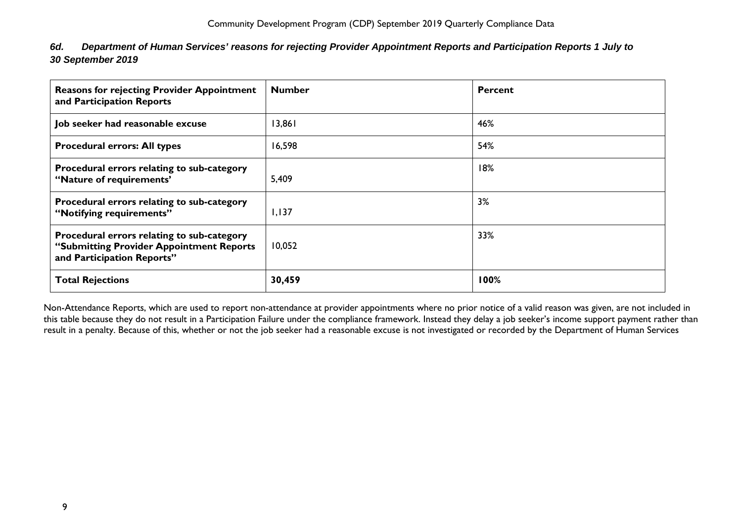<span id="page-9-0"></span>

| 6d. | Department of Human Services' reasons for rejecting Provider Appointment Reports and Participation Reports 1 July to |  |  |
|-----|----------------------------------------------------------------------------------------------------------------------|--|--|
|     | 30 September 2019                                                                                                    |  |  |

| <b>Reasons for rejecting Provider Appointment</b><br>and Participation Reports                                       | <b>Number</b> | <b>Percent</b> |
|----------------------------------------------------------------------------------------------------------------------|---------------|----------------|
| Job seeker had reasonable excuse                                                                                     | 13,861        | 46%            |
| <b>Procedural errors: All types</b>                                                                                  | 16,598        | 54%            |
| Procedural errors relating to sub-category<br>"Nature of requirements"                                               | 5,409         | 18%            |
| Procedural errors relating to sub-category<br>"Notifying requirements"                                               | 1,137         | 3%             |
| Procedural errors relating to sub-category<br>"Submitting Provider Appointment Reports<br>and Participation Reports" | 10,052        | 33%            |
| <b>Total Rejections</b>                                                                                              | 30,459        | 100%           |

Non-Attendance Reports, which are used to report non-attendance at provider appointments where no prior notice of a valid reason was given, are not included in this table because they do not result in a Participation Failure under the compliance framework. Instead they delay a job seeker's income support payment rather than result in a penalty. Because of this, whether or not the job seeker had a reasonable excuse is not investigated or recorded by the Department of Human Services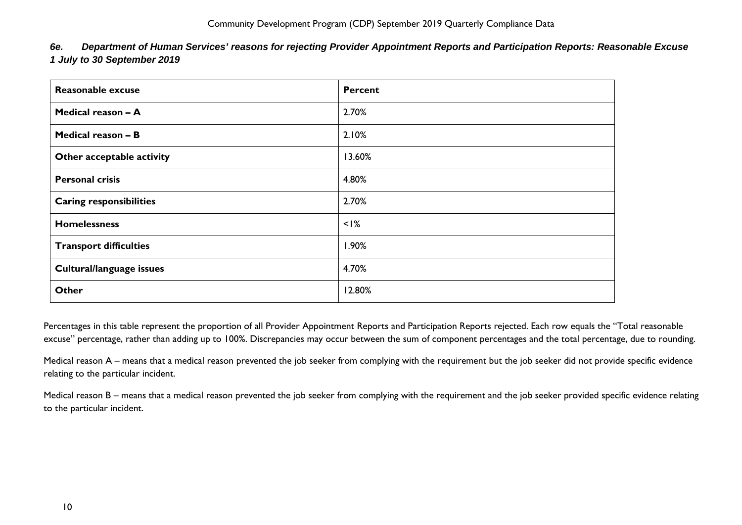<span id="page-10-0"></span>

| 6e. | Department of Human Services' reasons for rejecting Provider Appointment Reports and Participation Reports: Reasonable Excuse |  |  |
|-----|-------------------------------------------------------------------------------------------------------------------------------|--|--|
|     | 1 July to 30 September 2019                                                                                                   |  |  |

| Reasonable excuse              | <b>Percent</b> |
|--------------------------------|----------------|
| Medical reason - A             | 2.70%          |
| Medical reason - B             | 2.10%          |
| Other acceptable activity      | 13.60%         |
| <b>Personal crisis</b>         | 4.80%          |
| <b>Caring responsibilities</b> | 2.70%          |
| <b>Homelessness</b>            | $<$ $1\%$      |
| <b>Transport difficulties</b>  | 1.90%          |
| Cultural/language issues       | 4.70%          |
| Other                          | 12.80%         |

Percentages in this table represent the proportion of all Provider Appointment Reports and Participation Reports rejected. Each row equals the "Total reasonable excuse" percentage, rather than adding up to 100%. Discrepancies may occur between the sum of component percentages and the total percentage, due to rounding.

Medical reason A – means that a medical reason prevented the job seeker from complying with the requirement but the job seeker did not provide specific evidence relating to the particular incident.

Medical reason B – means that a medical reason prevented the job seeker from complying with the requirement and the job seeker provided specific evidence relating to the particular incident.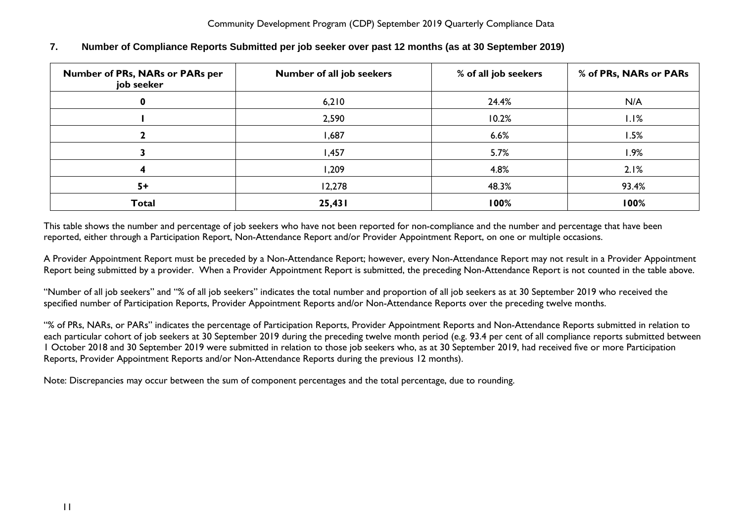| Number of PRs, NARs or PARs per<br>job seeker | Number of all job seekers | % of all job seekers | % of PRs, NARs or PARs |
|-----------------------------------------------|---------------------------|----------------------|------------------------|
|                                               | 6,210                     | 24.4%                | N/A                    |
|                                               | 2,590                     | 10.2%                | 1.1%                   |
|                                               | I,687                     | 6.6%                 | 1.5%                   |
|                                               | I,457                     | 5.7%                 | 1.9%                   |
|                                               | 1,209                     | 4.8%                 | 2.1%                   |
| $5+$                                          | 12,278                    | 48.3%                | 93.4%                  |
| <b>Total</b>                                  | 25,431                    | 100%                 | 100%                   |

# <span id="page-11-0"></span>**7. Number of Compliance Reports Submitted per job seeker over past 12 months (as at 30 September 2019)**

This table shows the number and percentage of job seekers who have not been reported for non-compliance and the number and percentage that have been reported, either through a Participation Report, Non-Attendance Report and/or Provider Appointment Report, on one or multiple occasions.

A Provider Appointment Report must be preceded by a Non-Attendance Report; however, every Non-Attendance Report may not result in a Provider Appointment Report being submitted by a provider. When a Provider Appointment Report is submitted, the preceding Non-Attendance Report is not counted in the table above.

"Number of all job seekers" and "% of all job seekers" indicates the total number and proportion of all job seekers as at 30 September 2019 who received the specified number of Participation Reports, Provider Appointment Reports and/or Non-Attendance Reports over the preceding twelve months.

"% of PRs, NARs, or PARs" indicates the percentage of Participation Reports, Provider Appointment Reports and Non-Attendance Reports submitted in relation to each particular cohort of job seekers at 30 September 2019 during the preceding twelve month period (e.g. 93.4 per cent of all compliance reports submitted between 1 October 2018 and 30 September 2019 were submitted in relation to those job seekers who, as at 30 September 2019, had received five or more Participation Reports, Provider Appointment Reports and/or Non-Attendance Reports during the previous 12 months).

Note: Discrepancies may occur between the sum of component percentages and the total percentage, due to rounding.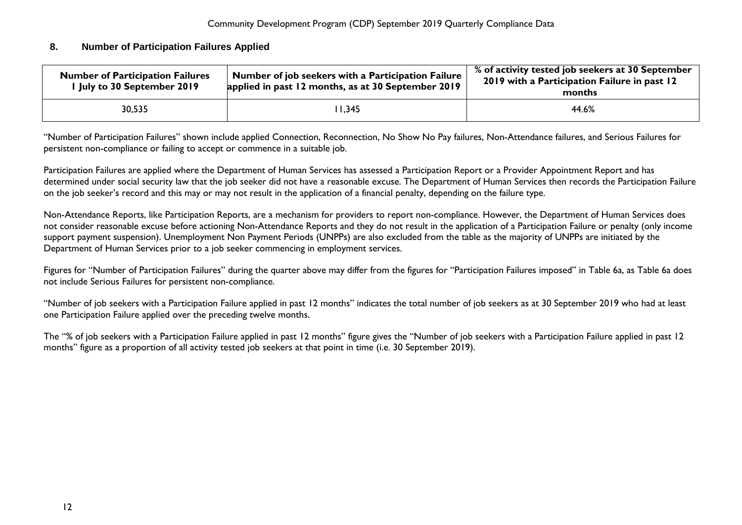### <span id="page-12-0"></span>**8. Number of Participation Failures Applied**

| <b>Number of Participation Failures</b><br>I July to 30 September 2019 | Number of job seekers with a Participation Failure<br>applied in past 12 months, as at 30 September 2019 | % of activity tested job seekers at 30 September<br>2019 with a Participation Failure in past 12<br>months |
|------------------------------------------------------------------------|----------------------------------------------------------------------------------------------------------|------------------------------------------------------------------------------------------------------------|
| 30,535                                                                 | 11,345                                                                                                   | 44.6%                                                                                                      |

"Number of Participation Failures" shown include applied Connection, Reconnection, No Show No Pay failures, Non-Attendance failures, and Serious Failures for persistent non-compliance or failing to accept or commence in a suitable job.

Participation Failures are applied where the Department of Human Services has assessed a Participation Report or a Provider Appointment Report and has determined under social security law that the job seeker did not have a reasonable excuse. The Department of Human Services then records the Participation Failure on the job seeker's record and this may or may not result in the application of a financial penalty, depending on the failure type.

Non-Attendance Reports, like Participation Reports, are a mechanism for providers to report non-compliance. However, the Department of Human Services does not consider reasonable excuse before actioning Non-Attendance Reports and they do not result in the application of a Participation Failure or penalty (only income support payment suspension). Unemployment Non Payment Periods (UNPPs) are also excluded from the table as the majority of UNPPs are initiated by the Department of Human Services prior to a job seeker commencing in employment services.

Figures for "Number of Participation Failures" during the quarter above may differ from the figures for "Participation Failures imposed" in Table 6a, as Table 6a does not include Serious Failures for persistent non-compliance.

"Number of job seekers with a Participation Failure applied in past 12 months" indicates the total number of job seekers as at 30 September 2019 who had at least one Participation Failure applied over the preceding twelve months.

The "% of job seekers with a Participation Failure applied in past 12 months" figure gives the "Number of job seekers with a Participation Failure applied in past 12 months" figure as a proportion of all activity tested job seekers at that point in time (i.e. 30 September 2019).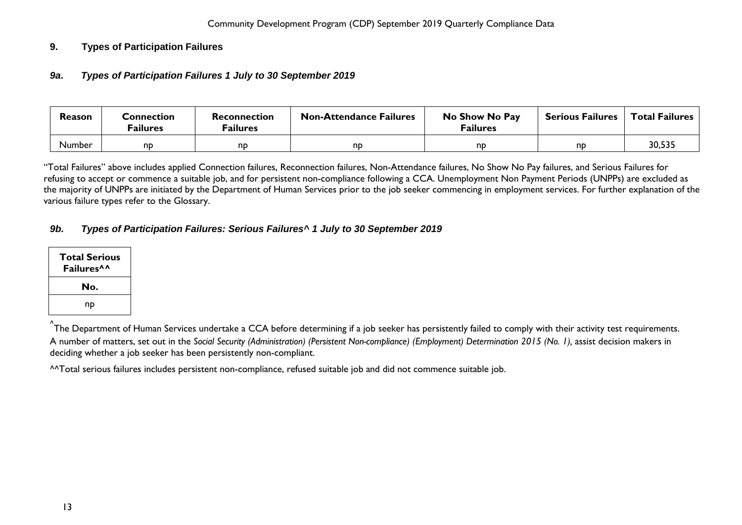# <span id="page-13-1"></span><span id="page-13-0"></span>**9. Types of Participation Failures**

## *9a***.** *Types of Participation Failures 1 July to 30 September 2019*

| <b>Reason</b> | Connection<br><sup>=</sup> ailures | Reconnection<br><sup>=</sup> ailures | <b>Non-Attendance Failures</b> | No Show No Pay<br><b>Failures</b> | <b>Serious Failures</b> | <b>Total Failures</b> |
|---------------|------------------------------------|--------------------------------------|--------------------------------|-----------------------------------|-------------------------|-----------------------|
| <b>Number</b> | nd                                 | nd                                   | nD                             | nd                                | nd                      | 30,535                |

"Total Failures" above includes applied Connection failures, Reconnection failures, Non-Attendance failures, No Show No Pay failures, and Serious Failures for refusing to accept or commence a suitable job, and for persistent non-compliance following a CCA. Unemployment Non Payment Periods (UNPPs) are excluded as the majority of UNPPs are initiated by the Department of Human Services prior to the job seeker commencing in employment services. For further explanation of the various failure types refer to the Glossary.

# <span id="page-13-2"></span>*9b. Types of Participation Failures: Serious Failures^ 1 July to 30 September 2019*

| <b>Total Serious</b><br>Failures <sup>^^</sup> |
|------------------------------------------------|
| No.                                            |
| np                                             |

<sup>^</sup>The Department of Human Services undertake a CCA before determining if a job seeker has persistently failed to comply with their activity test requirements. A number of matters, set out in the *Social Security (Administration) (Persistent Non-compliance) (Employment) Determination 2015 (No. 1),* assist decision makers in deciding whether a job seeker has been persistently non-compliant.

^^Total serious failures includes persistent non-compliance, refused suitable job and did not commence suitable job.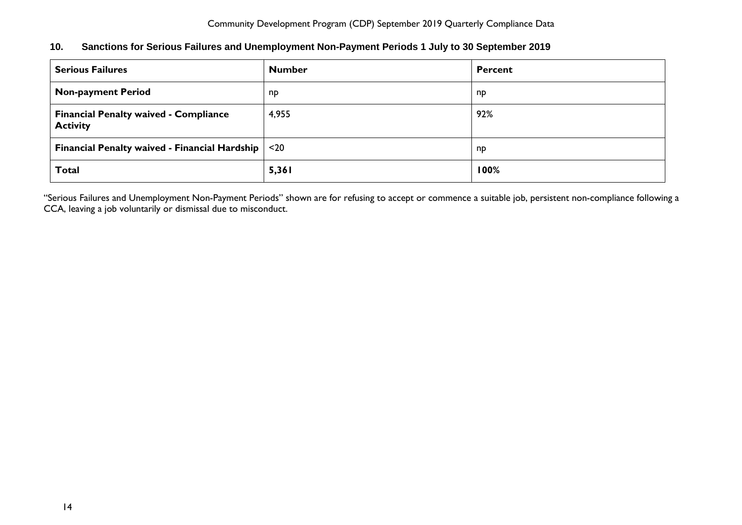<span id="page-14-0"></span>

| 10. | Sanctions for Serious Failures and Unemployment Non-Payment Periods 1 July to 30 September 2019 |  |  |  |  |
|-----|-------------------------------------------------------------------------------------------------|--|--|--|--|
|-----|-------------------------------------------------------------------------------------------------|--|--|--|--|

| <b>Serious Failures</b>                                         | <b>Number</b> | <b>Percent</b> |
|-----------------------------------------------------------------|---------------|----------------|
| <b>Non-payment Period</b>                                       | np            | np             |
| <b>Financial Penalty waived - Compliance</b><br><b>Activity</b> | 4,955         | 92%            |
| <b>Financial Penalty waived - Financial Hardship</b>            | $20$          | np             |
| <b>Total</b>                                                    | 5,361         | 100%           |

"Serious Failures and Unemployment Non-Payment Periods" shown are for refusing to accept or commence a suitable job, persistent non-compliance following a CCA, leaving a job voluntarily or dismissal due to misconduct.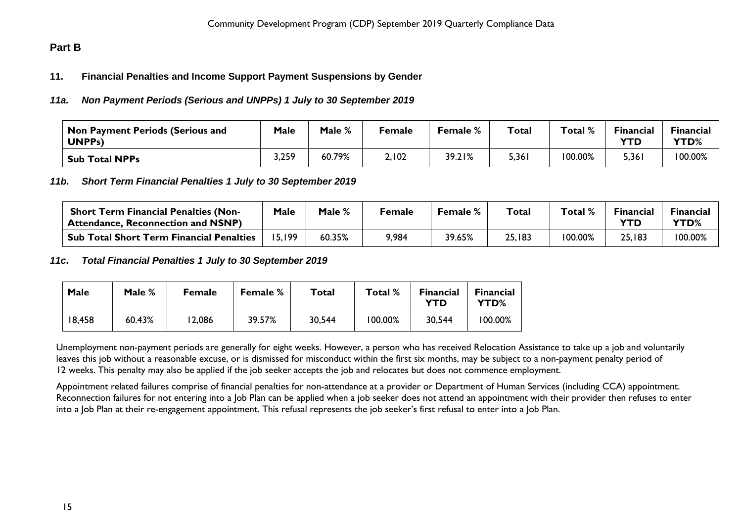# <span id="page-15-1"></span><span id="page-15-0"></span>**Part B**

### **11. Financial Penalties and Income Support Payment Suspensions by Gender**

#### <span id="page-15-2"></span>*11a. Non Payment Periods (Serious and UNPPs) 1 July to 30 September 2019*

| $^\mathsf{!}$ Non Payment Periods (Serious and<br><b>UNPPs)</b> | <b>Male</b> | Male % | Female | <b>Female</b> % | <b>Total</b> | Total % | Financial<br>YTD | <b>Financial</b><br><b>YTD%</b> |
|-----------------------------------------------------------------|-------------|--------|--------|-----------------|--------------|---------|------------------|---------------------------------|
| <b>Sub Total NPPs</b>                                           | 3,259       | 60.79% | 2,102  | 39.21%          | 5,361        | 100.00% | 5,361            | 100.00%                         |

#### <span id="page-15-3"></span>*11b. Short Term Financial Penalties 1 July to 30 September 2019*

| <b>Short Term Financial Penalties (Non-</b><br><b>Attendance, Reconnection and NSNP)</b> | Male   | Male % | Female | Female % | Total  | Total % | Financial | <b>Financial</b><br><b>YTD%</b> |
|------------------------------------------------------------------------------------------|--------|--------|--------|----------|--------|---------|-----------|---------------------------------|
| . Sub Total Short Term Financial Penalties                                               | .5.199 | 60.35% | 9,984  | 39.65%   | 25,183 | 100.00% | 25,183    | 100.00%                         |

#### <span id="page-15-4"></span>*11c***.** *Total Financial Penalties 1 July to 30 September 2019*

| Male   | Male % | <b>Female</b> | <b>Female</b> % | Total  | Total % | <b>Financial</b><br>YTD | <b>Financial</b><br>YTD% |
|--------|--------|---------------|-----------------|--------|---------|-------------------------|--------------------------|
| 18,458 | 60.43% | 2,086         | 39.57%          | 30,544 | 100.00% | 30,544                  | 100.00%                  |

Unemployment non-payment periods are generally for eight weeks. However, a person who has received Relocation Assistance to take up a job and voluntarily leaves this job without a reasonable excuse, or is dismissed for misconduct within the first six months, may be subject to a non-payment penalty period of 12 weeks. This penalty may also be applied if the job seeker accepts the job and relocates but does not commence employment.

Appointment related failures comprise of financial penalties for non-attendance at a provider or Department of Human Services (including CCA) appointment. Reconnection failures for not entering into a Job Plan can be applied when a job seeker does not attend an appointment with their provider then refuses to enter into a Job Plan at their re-engagement appointment. This refusal represents the job seeker's first refusal to enter into a Job Plan.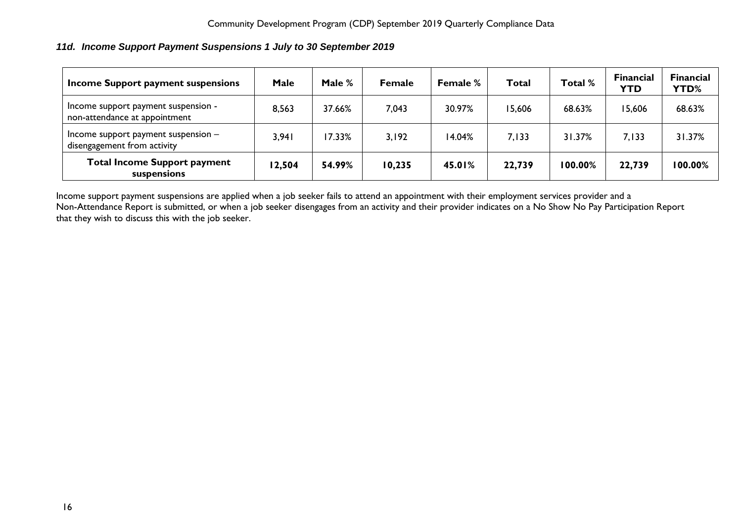# <span id="page-16-0"></span>*11d. Income Support Payment Suspensions 1 July to 30 September 2019*

| Income Support payment suspensions                                   | Male   | Male $%$ | <b>Female</b> | <b>Female %</b> | Total  | Total % | <b>Financial</b><br><b>YTD</b> | <b>Financial</b><br><b>YTD%</b> |
|----------------------------------------------------------------------|--------|----------|---------------|-----------------|--------|---------|--------------------------------|---------------------------------|
| Income support payment suspension -<br>non-attendance at appointment | 8,563  | 37.66%   | 7,043         | 30.97%          | 15,606 | 68.63%  | 15,606                         | 68.63%                          |
| Income support payment suspension $-$<br>disengagement from activity | 3,941  | 17.33%   | 3,192         | 14.04%          | 7.133  | 31.37%  | 7.133                          | 31.37%                          |
| <b>Total Income Support payment</b><br>suspensions                   | 12,504 | 54.99%   | 10,235        | 45.01%          | 22,739 | 100.00% | 22,739                         | 100.00%                         |

Income support payment suspensions are applied when a job seeker fails to attend an appointment with their employment services provider and a Non-Attendance Report is submitted, or when a job seeker disengages from an activity and their provider indicates on a No Show No Pay Participation Report that they wish to discuss this with the job seeker.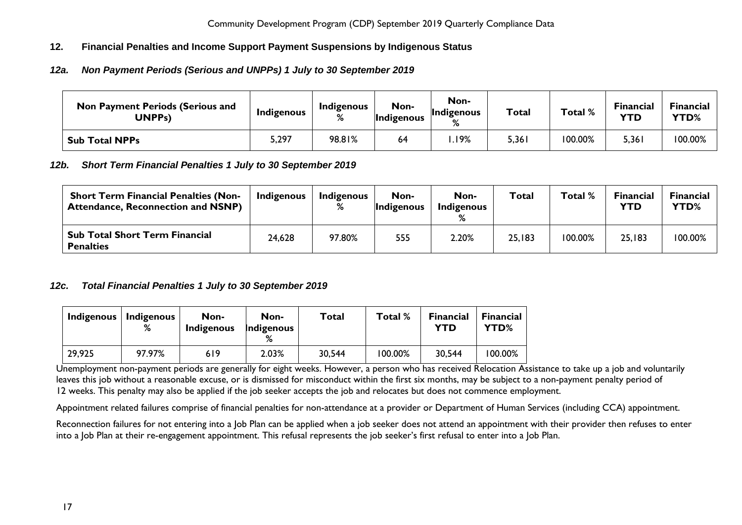# <span id="page-17-0"></span>**12. Financial Penalties and Income Support Payment Suspensions by Indigenous Status**

# <span id="page-17-1"></span>*12a. Non Payment Periods (Serious and UNPPs) 1 July to 30 September 2019*

| <b>Non Payment Periods (Serious and</b><br><b>UNPPs)</b> | Indigenous | Indigenous<br>% | Non-<br>Indigenous | Non-<br>Indigenous<br>$\mathbf{a}$ | Total | Total % | <b>Financial</b><br><b>YTD</b> | Financial<br><b>YTD%</b> |
|----------------------------------------------------------|------------|-----------------|--------------------|------------------------------------|-------|---------|--------------------------------|--------------------------|
| <b>Sub Total NPPs</b>                                    | 5,297      | 98.81%          | 64                 | .19%                               | 5,361 | 100.00% | 5,361                          | 100.00%                  |

## <span id="page-17-2"></span>*12b. Short Term Financial Penalties 1 July to 30 September 2019*

| <b>Short Term Financial Penalties (Non-</b><br><b>Attendance, Reconnection and NSNP)</b> | Indigenous | Indigenous<br>% | Non-<br><i>Indigenous</i> | Non-<br>Indigenous | <b>Total</b> | Total % | <b>Financial</b><br><b>YTD</b> | <b>Financial</b><br>YTD% |
|------------------------------------------------------------------------------------------|------------|-----------------|---------------------------|--------------------|--------------|---------|--------------------------------|--------------------------|
| <b>Sub Total Short Term Financial</b><br><b>Penalties</b>                                | 24,628     | 97.80%          | 555                       | 2.20%              | 25,183       | 100.00% | 25,183                         | 100.00%                  |

## <span id="page-17-3"></span>*12c. Total Financial Penalties 1 July to 30 September 2019*

| Indigenous | <b>Indigenous</b><br>% | Non-<br>Indigenous | Non-<br>Indigenous | Total  | Total % | <b>Financial</b><br>YTD | <b>Financial</b><br>YTD% |
|------------|------------------------|--------------------|--------------------|--------|---------|-------------------------|--------------------------|
| 29,925     | 97.97%                 | 619                | 2.03%              | 30,544 | 100.00% | 30,544                  | 100.00%                  |

Unemployment non-payment periods are generally for eight weeks. However, a person who has received Relocation Assistance to take up a job and voluntarily leaves this job without a reasonable excuse, or is dismissed for misconduct within the first six months, may be subject to a non-payment penalty period of 12 weeks. This penalty may also be applied if the job seeker accepts the job and relocates but does not commence employment.

Appointment related failures comprise of financial penalties for non-attendance at a provider or Department of Human Services (including CCA) appointment.

Reconnection failures for not entering into a Job Plan can be applied when a job seeker does not attend an appointment with their provider then refuses to enter into a Job Plan at their re-engagement appointment. This refusal represents the job seeker's first refusal to enter into a Job Plan.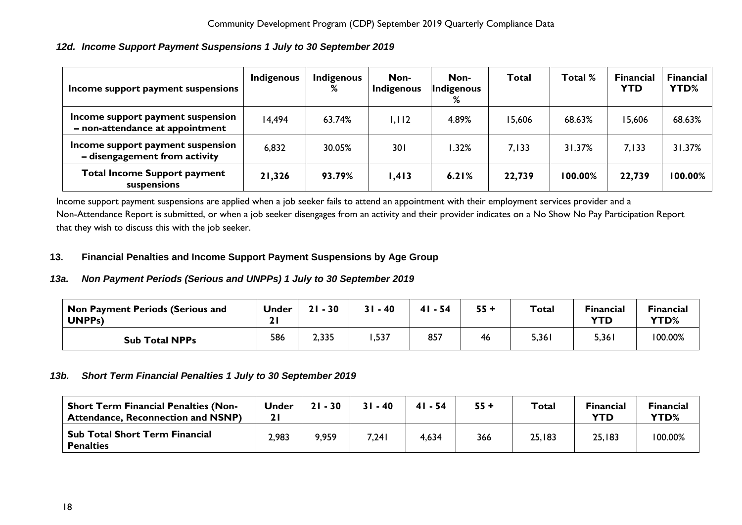# <span id="page-18-0"></span>*12d. Income Support Payment Suspensions 1 July to 30 September 2019*

| Income support payment suspensions                                   | Indigenous | Indigenous<br>% | Non-<br>Indigenous | Non-<br>Indigenous<br>% | <b>Total</b> | Total % | <b>Financial</b><br><b>YTD</b> | <b>Financial</b><br>YTD% |
|----------------------------------------------------------------------|------------|-----------------|--------------------|-------------------------|--------------|---------|--------------------------------|--------------------------|
| Income support payment suspension<br>- non-attendance at appointment | 14,494     | 63.74%          | 1,112              | 4.89%                   | 15,606       | 68.63%  | 15,606                         | 68.63%                   |
| Income support payment suspension<br>- disengagement from activity   | 6,832      | 30.05%          | 301                | .32%                    | 7,133        | 31.37%  | 7,133                          | 31.37%                   |
| <b>Total Income Support payment</b><br>suspensions                   | 21,326     | 93.79%          | 1,413              | 6.21%                   | 22,739       | 100.00% | 22,739                         | 100.00%                  |

Income support payment suspensions are applied when a job seeker fails to attend an appointment with their employment services provider and a Non-Attendance Report is submitted, or when a job seeker disengages from an activity and their provider indicates on a No Show No Pay Participation Report that they wish to discuss this with the job seeker.

#### <span id="page-18-1"></span>**13. Financial Penalties and Income Support Payment Suspensions by Age Group**

## <span id="page-18-2"></span>*13a. Non Payment Periods (Serious and UNPPs) 1 July to 30 September 2019*

| <b>Non Payment Periods (Serious and</b><br><b>UNPPs)</b> | <b>Under</b> | $-30$<br>21 | $31 - 40$ | 4 I<br>$-54$ | $55 +$ | <b>Total</b> | <b>Financial</b><br><b>YTD</b> | <b>Financial</b><br>YTD% |
|----------------------------------------------------------|--------------|-------------|-----------|--------------|--------|--------------|--------------------------------|--------------------------|
| <b>Sub Total NPPs</b>                                    | 586          | 2,335       | .,537     | 857          | 46     | 5,361        | 5,361                          | 100.00%                  |

#### <span id="page-18-3"></span>*13b. Short Term Financial Penalties 1 July to 30 September 2019*

<span id="page-18-4"></span>

| <b>Short Term Financial Penalties (Non-</b><br><b>Attendance, Reconnection and NSNP)</b> | Under | $21 - 30$ | $31 - 40$ | $41 - 54$ | $55 +$ | <b>Total</b> | <b>Financial</b><br>YTD | <b>Financial</b><br>YTD% |
|------------------------------------------------------------------------------------------|-------|-----------|-----------|-----------|--------|--------------|-------------------------|--------------------------|
| <b>Sub Total Short Term Financial</b><br><b>Penalties</b>                                | 2,983 | 9,959     | 7,241     | 4,634     | 366    | 25,183       | 25,183                  | 100.00%                  |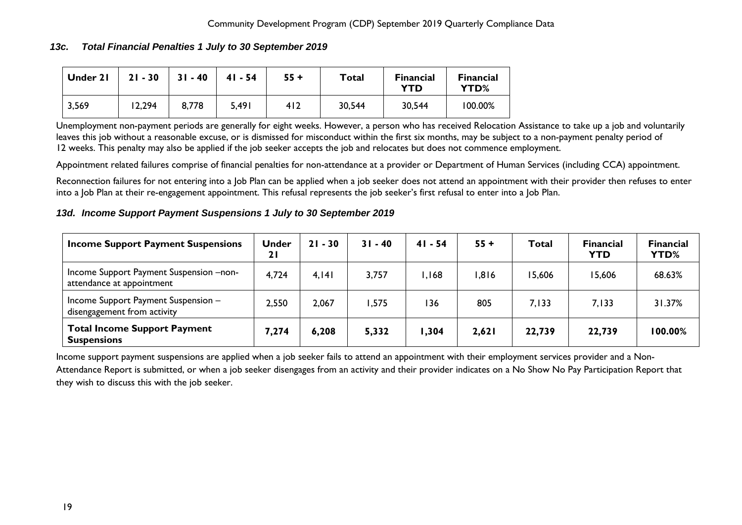### *13c. Total Financial Penalties 1 July to 30 September 2019*

| Under 21 | $21 - 30$ | $31 - 40$ | $41 - 54$ | $55 +$ | Total  | <b>Financial</b><br>YTD | <b>Financial</b><br>YTD% |
|----------|-----------|-----------|-----------|--------|--------|-------------------------|--------------------------|
| 3,569    | 12,294    | 8,778     | 5,491     | 412    | 30,544 | 30,544                  | 100.00%                  |

Unemployment non-payment periods are generally for eight weeks. However, a person who has received Relocation Assistance to take up a job and voluntarily leaves this job without a reasonable excuse, or is dismissed for misconduct within the first six months, may be subject to a non-payment penalty period of 12 weeks. This penalty may also be applied if the job seeker accepts the job and relocates but does not commence employment.

Appointment related failures comprise of financial penalties for non-attendance at a provider or Department of Human Services (including CCA) appointment.

Reconnection failures for not entering into a Job Plan can be applied when a job seeker does not attend an appointment with their provider then refuses to enter into a Job Plan at their re-engagement appointment. This refusal represents the job seeker's first refusal to enter into a Job Plan.

#### <span id="page-19-0"></span>*13d. Income Support Payment Suspensions 1 July to 30 September 2019*

| <b>Income Support Payment Suspensions</b>                            | <b>Under</b><br>21 | $21 - 30$ | $31 - 40$ | $41 - 54$ | $55 +$ | Total  | <b>Financial</b><br><b>YTD</b> | <b>Financial</b><br>YTD% |
|----------------------------------------------------------------------|--------------------|-----------|-----------|-----------|--------|--------|--------------------------------|--------------------------|
| Income Support Payment Suspension -non-<br>attendance at appointment | 4,724              | 4,141     | 3,757     | .168      | ,816   | 15,606 | 15,606                         | 68.63%                   |
| Income Support Payment Suspension -<br>disengagement from activity   | 2,550              | 2,067     | .575      | 136       | 805    | 7,133  | 7.133                          | 31.37%                   |
| <b>Total Income Support Payment</b><br><b>Suspensions</b>            | 7,274              | 6,208     | 5,332     | .304      | 2,621  | 22,739 | 22,739                         | 100.00%                  |

Income support payment suspensions are applied when a job seeker fails to attend an appointment with their employment services provider and a Non-Attendance Report is submitted, or when a job seeker disengages from an activity and their provider indicates on a No Show No Pay Participation Report that they wish to discuss this with the job seeker.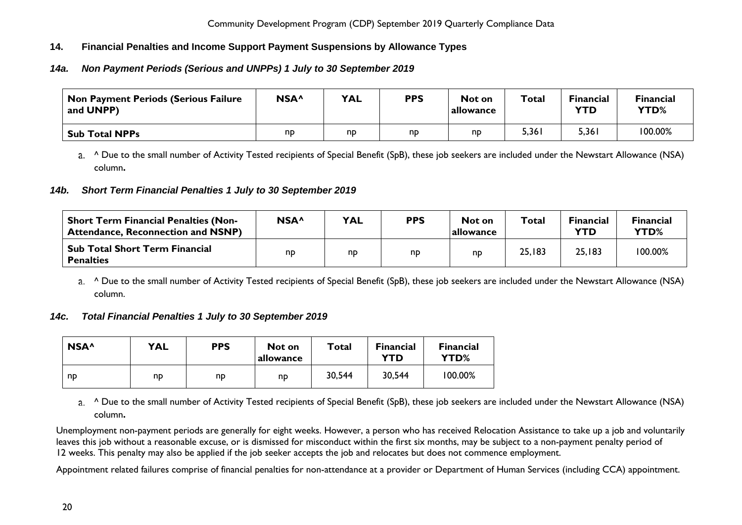# <span id="page-20-0"></span>**14. Financial Penalties and Income Support Payment Suspensions by Allowance Types**

# <span id="page-20-1"></span>*14a. Non Payment Periods (Serious and UNPPs) 1 July to 30 September 2019*

| <b>Non Payment Periods (Serious Failure</b><br>and UNPP) | NSA <sup>^</sup> | <b>YAL</b> | <b>PPS</b> | Not on<br>allowance | Total | <b>Financial</b><br>YTD | <b>Financial</b><br>YTD% |
|----------------------------------------------------------|------------------|------------|------------|---------------------|-------|-------------------------|--------------------------|
| <b>Sub Total NPPs</b>                                    | nd               | np         | np         | nd                  | 5,361 | 5,361                   | 100.00%                  |

a. <sup>^</sup> Due to the small number of Activity Tested recipients of Special Benefit (SpB), these job seekers are included under the Newstart Allowance (NSA) column**.**

## <span id="page-20-2"></span>*14b. Short Term Financial Penalties 1 July to 30 September 2019*

| <b>Short Term Financial Penalties (Non-</b><br><b>Attendance, Reconnection and NSNP)</b> | NSA^ | <b>YAL</b> | <b>PPS</b> | Not on<br>allowance | Total  | <b>Financial</b><br><b>YTD</b> | <b>Financial</b><br>YTD% |
|------------------------------------------------------------------------------------------|------|------------|------------|---------------------|--------|--------------------------------|--------------------------|
| <b>Sub Total Short Term Financial</b><br><b>Penalties</b>                                | np   | np         | np         | np                  | 25,183 | 25,183                         | 100.00%                  |

a. <sup>^</sup> Due to the small number of Activity Tested recipients of Special Benefit (SpB), these job seekers are included under the Newstart Allowance (NSA) column.

## <span id="page-20-3"></span>*14c. Total Financial Penalties 1 July to 30 September 2019*

| NSA <sup>^</sup> | <b>YAL</b> | <b>PPS</b> | Not on<br>allowance | Total  | <b>Financial</b><br>YTD | <b>Financial</b><br>YTD% |
|------------------|------------|------------|---------------------|--------|-------------------------|--------------------------|
| np               | np         | nd         | np                  | 30,544 | 30,544                  | 100.00%                  |

a. <sup>^</sup> Due to the small number of Activity Tested recipients of Special Benefit (SpB), these job seekers are included under the Newstart Allowance (NSA) column**.**

Unemployment non-payment periods are generally for eight weeks. However, a person who has received Relocation Assistance to take up a job and voluntarily leaves this job without a reasonable excuse, or is dismissed for misconduct within the first six months, may be subject to a non-payment penalty period of 12 weeks. This penalty may also be applied if the job seeker accepts the job and relocates but does not commence employment.

Appointment related failures comprise of financial penalties for non-attendance at a provider or Department of Human Services (including CCA) appointment.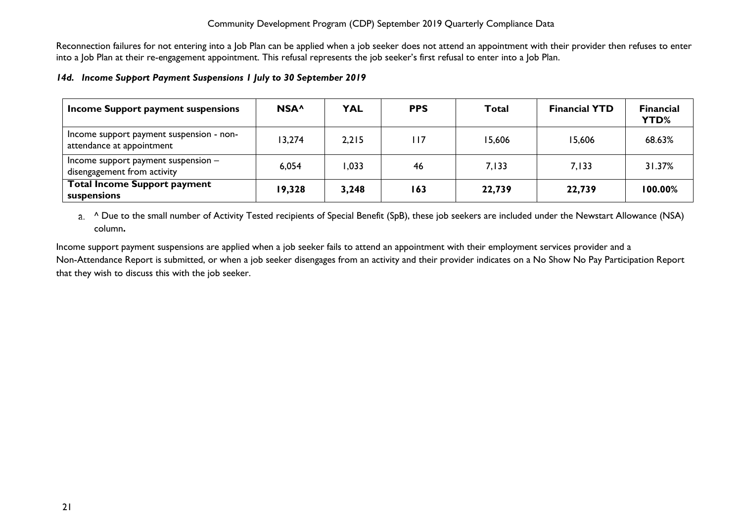Reconnection failures for not entering into a Job Plan can be applied when a job seeker does not attend an appointment with their provider then refuses to enter into a Job Plan at their re-engagement appointment. This refusal represents the job seeker's first refusal to enter into a Job Plan.

#### <span id="page-21-0"></span>*14d. Income Support Payment Suspensions 1 July to 30 September 2019*

| Income Support payment suspensions                                    | NSA <sup>^</sup> | <b>YAL</b> | <b>PPS</b> | Total  | <b>Financial YTD</b> | <b>Financial</b><br>YTD% |
|-----------------------------------------------------------------------|------------------|------------|------------|--------|----------------------|--------------------------|
| Income support payment suspension - non-<br>attendance at appointment | 13,274           | 2,215      | l I 7      | 15,606 | 15,606               | 68.63%                   |
| Income support payment suspension $-$<br>disengagement from activity  | 6,054            | 033, ا     | 46         | 7.133  | 7.133                | 31.37%                   |
| <b>Total Income Support payment</b><br>suspensions                    | 19,328           | 3,248      | 163        | 22,739 | 22,739               | 100.00%                  |

a. <sup>^</sup> Due to the small number of Activity Tested recipients of Special Benefit (SpB), these job seekers are included under the Newstart Allowance (NSA) column**.**

Income support payment suspensions are applied when a job seeker fails to attend an appointment with their employment services provider and a Non-Attendance Report is submitted, or when a job seeker disengages from an activity and their provider indicates on a No Show No Pay Participation Report that they wish to discuss this with the job seeker.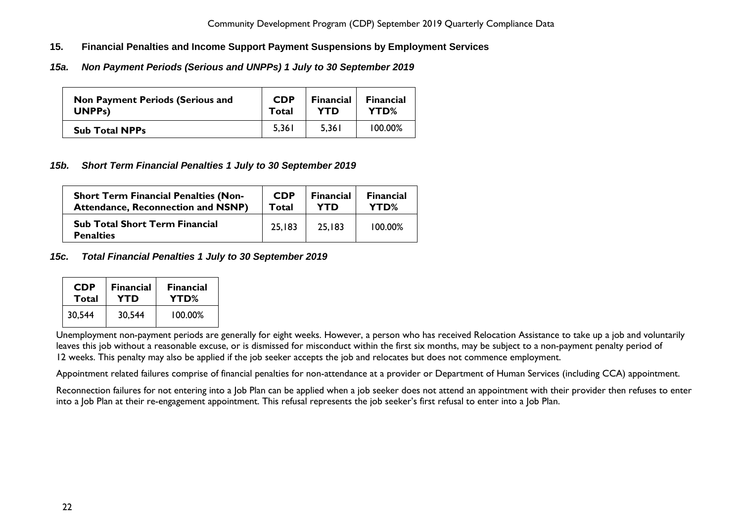- <span id="page-22-0"></span>**15. Financial Penalties and Income Support Payment Suspensions by Employment Services**
- <span id="page-22-1"></span>*15a. Non Payment Periods (Serious and UNPPs) 1 July to 30 September 2019*

| <b>Non Payment Periods (Serious and</b> | <b>CDP</b> | <b>Financial</b> | <b>Financial</b> |
|-----------------------------------------|------------|------------------|------------------|
| UNPP <sub>s</sub> )                     | Total      | <b>YTD</b>       | YTD%             |
| <b>Sub Total NPPs</b>                   | 5,361      | 5.361            | $100.00\%$       |

## <span id="page-22-2"></span>*15b. Short Term Financial Penalties 1 July to 30 September 2019*

| <b>Short Term Financial Penalties (Non-</b>               | <b>CDP</b> | <b>Financial</b> | <b>Financial</b> |
|-----------------------------------------------------------|------------|------------------|------------------|
| <b>Attendance, Reconnection and NSNP)</b>                 | Total      | YTD              | YTD%             |
| <b>Sub Total Short Term Financial</b><br><b>Penalties</b> | 25,183     | 25,183           | 100.00%          |

<span id="page-22-3"></span>*15c. Total Financial Penalties 1 July to 30 September 2019*

| <b>CDP</b> | <b>Financial</b> | <b>Financial</b> |  |
|------------|------------------|------------------|--|
| Total      | YTD              | YTD%             |  |
| 30,544     | 30,544           | 100.00%          |  |

Unemployment non-payment periods are generally for eight weeks. However, a person who has received Relocation Assistance to take up a job and voluntarily leaves this job without a reasonable excuse, or is dismissed for misconduct within the first six months, may be subject to a non-payment penalty period of 12 weeks. This penalty may also be applied if the job seeker accepts the job and relocates but does not commence employment.

Appointment related failures comprise of financial penalties for non-attendance at a provider or Department of Human Services (including CCA) appointment.

Reconnection failures for not entering into a Job Plan can be applied when a job seeker does not attend an appointment with their provider then refuses to enter into a Job Plan at their re-engagement appointment. This refusal represents the job seeker's first refusal to enter into a Job Plan.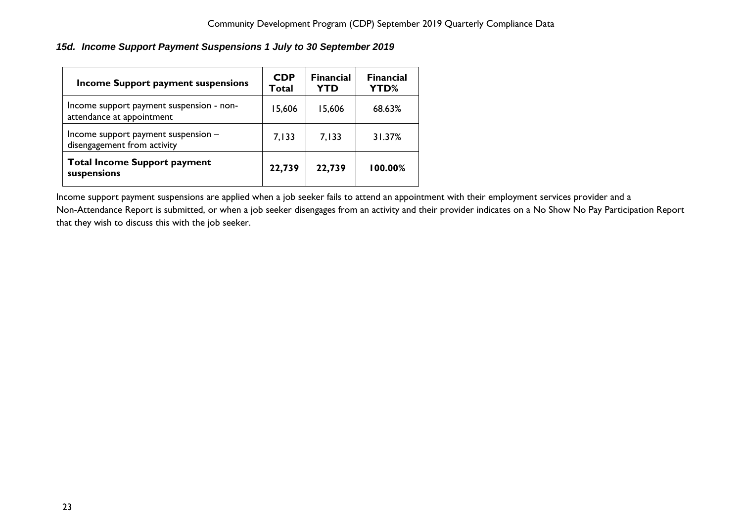# <span id="page-23-0"></span>*15d. Income Support Payment Suspensions 1 July to 30 September 2019*

| <b>Income Support payment suspensions</b>                             | <b>CDP</b><br>Total | <b>Financial</b><br>YTD | <b>Financial</b><br>YTD% |
|-----------------------------------------------------------------------|---------------------|-------------------------|--------------------------|
| Income support payment suspension - non-<br>attendance at appointment | 15,606              | 15,606                  | 68.63%                   |
| Income support payment suspension -<br>disengagement from activity    | 7,133               | 7,133                   | 31.37%                   |
| <b>Total Income Support payment</b><br>suspensions                    | 22,739              | 22,739                  | 100.00%                  |

Income support payment suspensions are applied when a job seeker fails to attend an appointment with their employment services provider and a Non-Attendance Report is submitted, or when a job seeker disengages from an activity and their provider indicates on a No Show No Pay Participation Report that they wish to discuss this with the job seeker.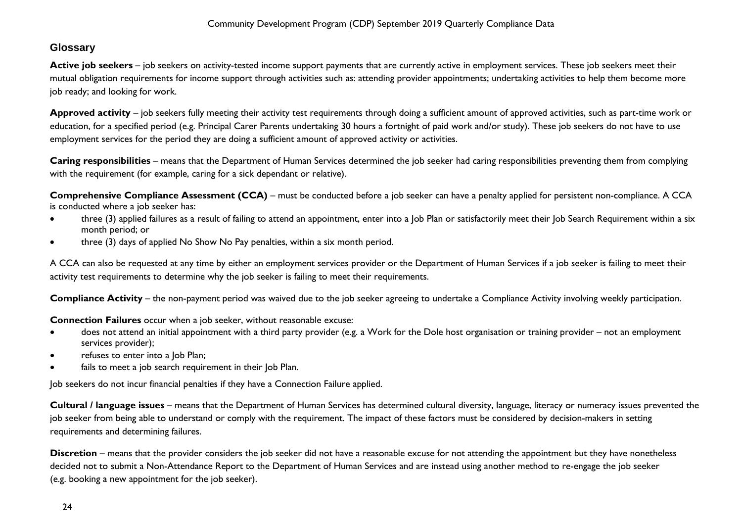# <span id="page-24-0"></span>**Glossary**

Active job seekers – job seekers on activity-tested income support payments that are currently active in employment services. These job seekers meet their mutual obligation requirements for income support through activities such as: attending provider appointments; undertaking activities to help them become more job ready; and looking for work.

**Approved activity** – job seekers fully meeting their activity test requirements through doing a sufficient amount of approved activities, such as part-time work or education, for a specified period (e.g. Principal Carer Parents undertaking 30 hours a fortnight of paid work and/or study). These job seekers do not have to use employment services for the period they are doing a sufficient amount of approved activity or activities.

**Caring responsibilities** – means that the Department of Human Services determined the job seeker had caring responsibilities preventing them from complying with the requirement (for example, caring for a sick dependant or relative).

**Comprehensive Compliance Assessment (CCA)** – must be conducted before a job seeker can have a penalty applied for persistent non-compliance. A CCA is conducted where a job seeker has:

- three (3) applied failures as a result of failing to attend an appointment, enter into a Job Plan or satisfactorily meet their Job Search Requirement within a six month period; or
- three (3) days of applied No Show No Pay penalties, within a six month period.

A CCA can also be requested at any time by either an employment services provider or the Department of Human Services if a job seeker is failing to meet their activity test requirements to determine why the job seeker is failing to meet their requirements.

**Compliance Activity** – the non-payment period was waived due to the job seeker agreeing to undertake a Compliance Activity involving weekly participation.

**Connection Failures** occur when a job seeker, without reasonable excuse:

- does not attend an initial appointment with a third party provider (e.g. a Work for the Dole host organisation or training provider not an employment services provider);
- refuses to enter into a Job Plan;
- fails to meet a job search requirement in their Job Plan.

Job seekers do not incur financial penalties if they have a Connection Failure applied.

**Cultural / language issues** – means that the Department of Human Services has determined cultural diversity, language, literacy or numeracy issues prevented the job seeker from being able to understand or comply with the requirement. The impact of these factors must be considered by decision-makers in setting requirements and determining failures.

**Discretion** – means that the provider considers the job seeker did not have a reasonable excuse for not attending the appointment but they have nonetheless decided not to submit a Non-Attendance Report to the Department of Human Services and are instead using another method to re-engage the job seeker (e.g. booking a new appointment for the job seeker).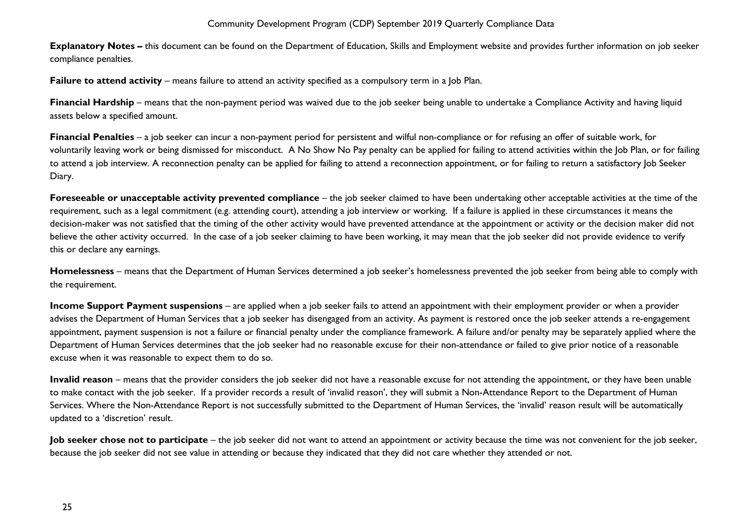**Explanatory Notes –** this document can be found on the Department of Education, Skills and Employment website and provides further information on job seeker compliance penalties.

**Failure to attend activity** – means failure to attend an activity specified as a compulsory term in a Job Plan.

**Financial Hardship** – means that the non-payment period was waived due to the job seeker being unable to undertake a Compliance Activity and having liquid assets below a specified amount.

**Financial Penalties** – a job seeker can incur a non-payment period for persistent and wilful non-compliance or for refusing an offer of suitable work, for voluntarily leaving work or being dismissed for misconduct. A No Show No Pay penalty can be applied for failing to attend activities within the Job Plan, or for failing to attend a job interview. A reconnection penalty can be applied for failing to attend a reconnection appointment, or for failing to return a satisfactory Job Seeker Diary.

**Foreseeable or unacceptable activity prevented compliance** – the job seeker claimed to have been undertaking other acceptable activities at the time of the requirement, such as a legal commitment (e.g. attending court), attending a job interview or working. If a failure is applied in these circumstances it means the decision-maker was not satisfied that the timing of the other activity would have prevented attendance at the appointment or activity or the decision maker did not believe the other activity occurred. In the case of a job seeker claiming to have been working, it may mean that the job seeker did not provide evidence to verify this or declare any earnings.

**Homelessness** – means that the Department of Human Services determined a job seeker's homelessness prevented the job seeker from being able to comply with the requirement.

**Income Support Payment suspensions** – are applied when a job seeker fails to attend an appointment with their employment provider or when a provider advises the Department of Human Services that a job seeker has disengaged from an activity. As payment is restored once the job seeker attends a re-engagement appointment, payment suspension is not a failure or financial penalty under the compliance framework. A failure and/or penalty may be separately applied where the Department of Human Services determines that the job seeker had no reasonable excuse for their non-attendance or failed to give prior notice of a reasonable excuse when it was reasonable to expect them to do so.

**Invalid reason** – means that the provider considers the job seeker did not have a reasonable excuse for not attending the appointment, or they have been unable to make contact with the job seeker. If a provider records a result of 'invalid reason', they will submit a Non-Attendance Report to the Department of Human Services. Where the Non-Attendance Report is not successfully submitted to the Department of Human Services, the 'invalid' reason result will be automatically updated to a 'discretion' result.

**Job seeker chose not to participate** – the job seeker did not want to attend an appointment or activity because the time was not convenient for the job seeker, because the job seeker did not see value in attending or because they indicated that they did not care whether they attended or not.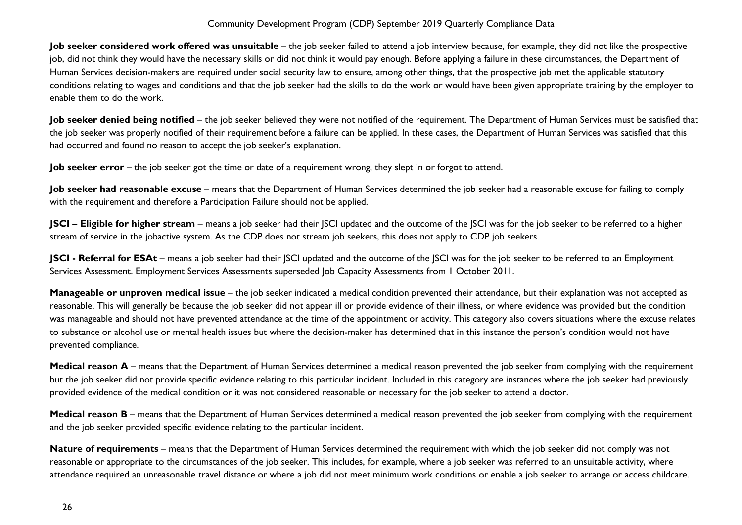**Job seeker considered work offered was unsuitable** – the job seeker failed to attend a job interview because, for example, they did not like the prospective job, did not think they would have the necessary skills or did not think it would pay enough. Before applying a failure in these circumstances, the Department of Human Services decision-makers are required under social security law to ensure, among other things, that the prospective job met the applicable statutory conditions relating to wages and conditions and that the job seeker had the skills to do the work or would have been given appropriate training by the employer to enable them to do the work.

**Job seeker denied being notified** – the job seeker believed they were not notified of the requirement. The Department of Human Services must be satisfied that the job seeker was properly notified of their requirement before a failure can be applied. In these cases, the Department of Human Services was satisfied that this had occurred and found no reason to accept the job seeker's explanation.

**Job seeker error** – the job seeker got the time or date of a requirement wrong, they slept in or forgot to attend.

Job seeker had reasonable excuse - means that the Department of Human Services determined the job seeker had a reasonable excuse for failing to comply with the requirement and therefore a Participation Failure should not be applied.

**JSCI – Eligible for higher stream** – means a job seeker had their JSCI updated and the outcome of the JSCI was for the job seeker to be referred to a higher stream of service in the jobactive system. As the CDP does not stream job seekers, this does not apply to CDP job seekers.

**JSCI - Referral for ESAt** – means a job seeker had their JSCI updated and the outcome of the JSCI was for the job seeker to be referred to an Employment Services Assessment. Employment Services Assessments superseded Job Capacity Assessments from 1 October 2011.

**Manageable or unproven medical issue** – the job seeker indicated a medical condition prevented their attendance, but their explanation was not accepted as reasonable. This will generally be because the job seeker did not appear ill or provide evidence of their illness, or where evidence was provided but the condition was manageable and should not have prevented attendance at the time of the appointment or activity. This category also covers situations where the excuse relates to substance or alcohol use or mental health issues but where the decision-maker has determined that in this instance the person's condition would not have prevented compliance.

**Medical reason A** – means that the Department of Human Services determined a medical reason prevented the job seeker from complying with the requirement but the job seeker did not provide specific evidence relating to this particular incident. Included in this category are instances where the job seeker had previously provided evidence of the medical condition or it was not considered reasonable or necessary for the job seeker to attend a doctor.

**Medical reason B** – means that the Department of Human Services determined a medical reason prevented the job seeker from complying with the requirement and the job seeker provided specific evidence relating to the particular incident.

**Nature of requirements** – means that the Department of Human Services determined the requirement with which the job seeker did not comply was not reasonable or appropriate to the circumstances of the job seeker. This includes, for example, where a job seeker was referred to an unsuitable activity, where attendance required an unreasonable travel distance or where a job did not meet minimum work conditions or enable a job seeker to arrange or access childcare.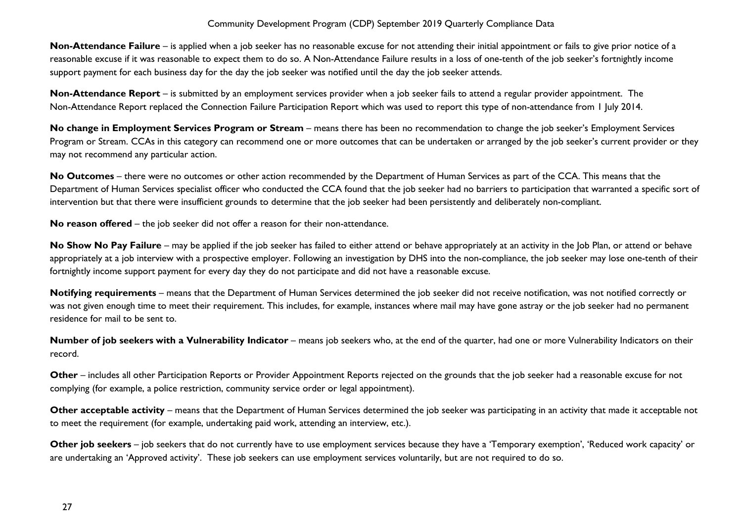**Non-Attendance Failure** – is applied when a job seeker has no reasonable excuse for not attending their initial appointment or fails to give prior notice of a reasonable excuse if it was reasonable to expect them to do so. A Non-Attendance Failure results in a loss of one-tenth of the job seeker's fortnightly income support payment for each business day for the day the job seeker was notified until the day the job seeker attends.

**Non-Attendance Report** – is submitted by an employment services provider when a job seeker fails to attend a regular provider appointment. The Non-Attendance Report replaced the Connection Failure Participation Report which was used to report this type of non-attendance from 1 July 2014.

**No change in Employment Services Program or Stream** – means there has been no recommendation to change the job seeker's Employment Services Program or Stream. CCAs in this category can recommend one or more outcomes that can be undertaken or arranged by the job seeker's current provider or they may not recommend any particular action.

**No Outcomes** – there were no outcomes or other action recommended by the Department of Human Services as part of the CCA. This means that the Department of Human Services specialist officer who conducted the CCA found that the job seeker had no barriers to participation that warranted a specific sort of intervention but that there were insufficient grounds to determine that the job seeker had been persistently and deliberately non-compliant.

**No reason offered** – the job seeker did not offer a reason for their non-attendance.

No Show No Pay Failure – may be applied if the job seeker has failed to either attend or behave appropriately at an activity in the Job Plan, or attend or behave appropriately at a job interview with a prospective employer. Following an investigation by DHS into the non-compliance, the job seeker may lose one-tenth of their fortnightly income support payment for every day they do not participate and did not have a reasonable excuse.

**Notifying requirements** – means that the Department of Human Services determined the job seeker did not receive notification, was not notified correctly or was not given enough time to meet their requirement. This includes, for example, instances where mail may have gone astray or the job seeker had no permanent residence for mail to be sent to.

**Number of job seekers with a Vulnerability Indicator** – means job seekers who, at the end of the quarter, had one or more Vulnerability Indicators on their record.

**Other** – includes all other Participation Reports or Provider Appointment Reports rejected on the grounds that the job seeker had a reasonable excuse for not complying (for example, a police restriction, community service order or legal appointment).

**Other acceptable activity** – means that the Department of Human Services determined the job seeker was participating in an activity that made it acceptable not to meet the requirement (for example, undertaking paid work, attending an interview, etc.).

**Other job seekers** – job seekers that do not currently have to use employment services because they have a 'Temporary exemption', 'Reduced work capacity' or are undertaking an 'Approved activity'. These job seekers can use employment services voluntarily, but are not required to do so.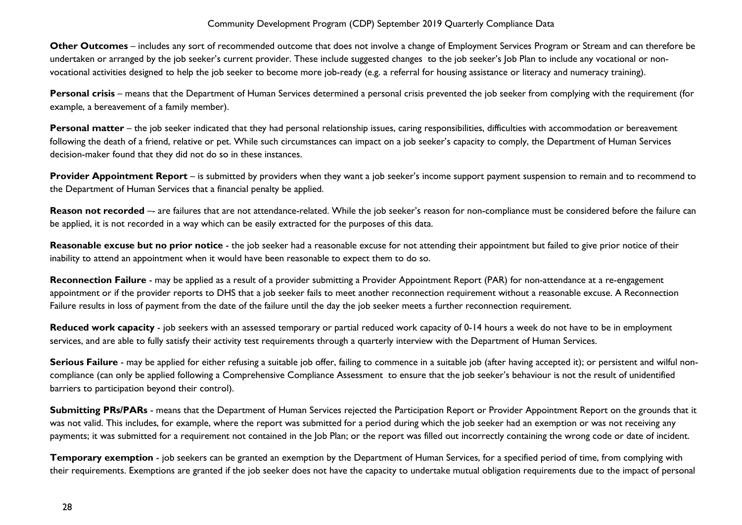**Other Outcomes** – includes any sort of recommended outcome that does not involve a change of Employment Services Program or Stream and can therefore be undertaken or arranged by the job seeker's current provider. These include suggested changes to the job seeker's Job Plan to include any vocational or nonvocational activities designed to help the job seeker to become more job-ready (e.g. a referral for housing assistance or literacy and numeracy training).

**Personal crisis** – means that the Department of Human Services determined a personal crisis prevented the job seeker from complying with the requirement (for example, a bereavement of a family member).

Personal matter – the job seeker indicated that they had personal relationship issues, caring responsibilities, difficulties with accommodation or bereavement following the death of a friend, relative or pet. While such circumstances can impact on a job seeker's capacity to comply, the Department of Human Services decision-maker found that they did not do so in these instances.

**Provider Appointment Report** – is submitted by providers when they want a job seeker's income support payment suspension to remain and to recommend to the Department of Human Services that a financial penalty be applied.

Reason not recorded -- are failures that are not attendance-related. While the job seeker's reason for non-compliance must be considered before the failure can be applied, it is not recorded in a way which can be easily extracted for the purposes of this data.

**Reasonable excuse but no prior notice** - the job seeker had a reasonable excuse for not attending their appointment but failed to give prior notice of their inability to attend an appointment when it would have been reasonable to expect them to do so.

**Reconnection Failure** - may be applied as a result of a provider submitting a Provider Appointment Report (PAR) for non-attendance at a re-engagement appointment or if the provider reports to DHS that a job seeker fails to meet another reconnection requirement without a reasonable excuse. A Reconnection Failure results in loss of payment from the date of the failure until the day the job seeker meets a further reconnection requirement.

**Reduced work capacity** - job seekers with an assessed temporary or partial reduced work capacity of 0-14 hours a week do not have to be in employment services, and are able to fully satisfy their activity test requirements through a quarterly interview with the Department of Human Services.

**Serious Failure** - may be applied for either refusing a suitable job offer, failing to commence in a suitable job (after having accepted it); or persistent and wilful noncompliance (can only be applied following a Comprehensive Compliance Assessment to ensure that the job seeker's behaviour is not the result of unidentified barriers to participation beyond their control).

**Submitting PRs/PARs** - means that the Department of Human Services rejected the Participation Report or Provider Appointment Report on the grounds that it was not valid. This includes, for example, where the report was submitted for a period during which the job seeker had an exemption or was not receiving any payments; it was submitted for a requirement not contained in the Job Plan; or the report was filled out incorrectly containing the wrong code or date of incident.

**Temporary exemption** - job seekers can be granted an exemption by the Department of Human Services, for a specified period of time, from complying with their requirements. Exemptions are granted if the job seeker does not have the capacity to undertake mutual obligation requirements due to the impact of personal